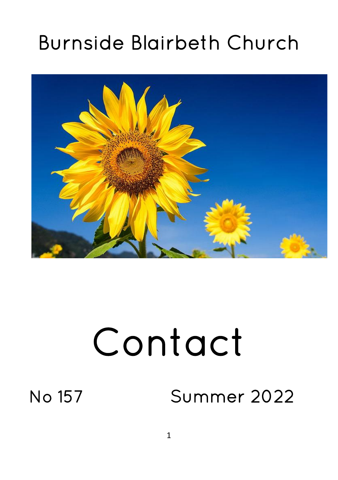# Burnside Blairbeth Church



# Contact

# No 157 Summer 2022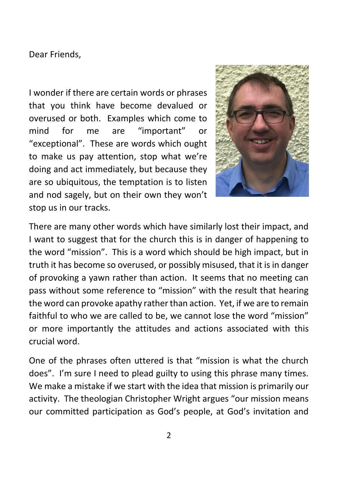Dear Friends,

I wonder if there are certain words or phrases that you think have become devalued or overused or both. Examples which come to mind for me are "important" or "exceptional". These are words which ought to make us pay attention, stop what we're doing and act immediately, but because they are so ubiquitous, the temptation is to listen and nod sagely, but on their own they won't stop us in our tracks.



There are many other words which have similarly lost their impact, and I want to suggest that for the church this is in danger of happening to the word "mission". This is a word which should be high impact, but in truth it has become so overused, or possibly misused, that it is in danger of provoking a yawn rather than action. It seems that no meeting can pass without some reference to "mission" with the result that hearing the word can provoke apathy rather than action. Yet, if we are to remain faithful to who we are called to be, we cannot lose the word "mission" or more importantly the attitudes and actions associated with this crucial word.

One of the phrases often uttered is that "mission is what the church does". I'm sure I need to plead guilty to using this phrase many times. We make a mistake if we start with the idea that mission is primarily our activity. The theologian Christopher Wright argues "our mission means our committed participation as God's people, at God's invitation and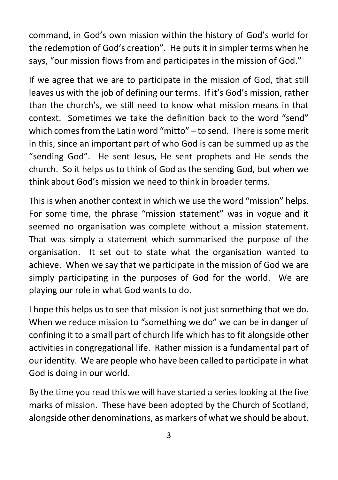command, in God's own mission within the history of God's world for the redemption of God's creation". He puts it in simpler terms when he says, "our mission flows from and participates in the mission of God."

If we agree that we are to participate in the mission of God, that still leaves us with the job of defining our terms. If it's God's mission, rather than the church's, we still need to know what mission means in that context. Sometimes we take the definition back to the word "send" which comes from the Latin word "mitto" – to send. There is some merit in this, since an important part of who God is can be summed up as the "sending God". He sent Jesus, He sent prophets and He sends the church. So it helps us to think of God as the sending God, but when we think about God's mission we need to think in broader terms.

This is when another context in which we use the word "mission" helps. For some time, the phrase "mission statement" was in vogue and it seemed no organisation was complete without a mission statement. That was simply a statement which summarised the purpose of the organisation. It set out to state what the organisation wanted to achieve. When we say that we participate in the mission of God we are simply participating in the purposes of God for the world. We are playing our role in what God wants to do.

I hope this helps us to see that mission is not just something that we do. When we reduce mission to "something we do" we can be in danger of confining it to a small part of church life which has to fit alongside other activities in congregational life. Rather mission is a fundamental part of our identity. We are people who have been called to participate in what God is doing in our world.

By the time you read this we will have started a series looking at the five marks of mission. These have been adopted by the Church of Scotland, alongside other denominations, as markers of what we should be about.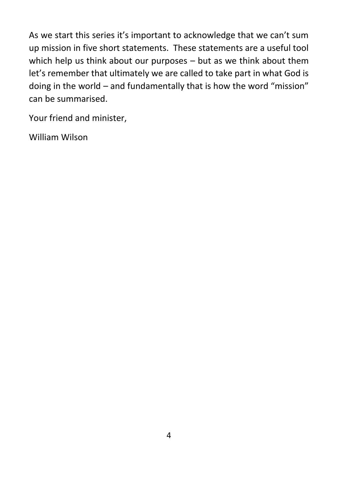As we start this series it's important to acknowledge that we can't sum up mission in five short statements. These statements are a useful tool which help us think about our purposes – but as we think about them let's remember that ultimately we are called to take part in what God is doing in the world – and fundamentally that is how the word "mission" can be summarised.

Your friend and minister,

William Wilson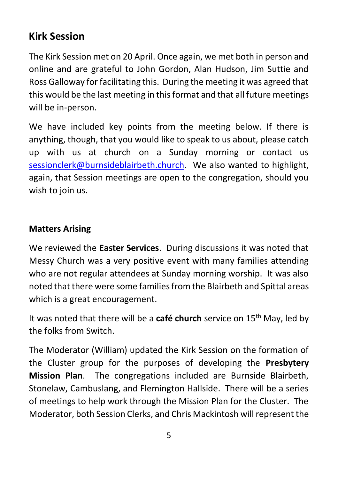# **Kirk Session**

The Kirk Session met on 20 April. Once again, we met both in person and online and are grateful to John Gordon, Alan Hudson, Jim Suttie and Ross Galloway for facilitating this. During the meeting it was agreed that this would be the last meeting in this format and that all future meetings will be in-person.

We have included key points from the meeting below. If there is anything, though, that you would like to speak to us about, please catch up with us at church on a Sunday morning or contact us [sessionclerk@burnsideblairbeth.church.](mailto:sessionclerk@burnsideblairbeth.church) We also wanted to highlight, again, that Session meetings are open to the congregation, should you wish to join us.

#### **Matters Arising**

We reviewed the **Easter Services**. During discussions it was noted that Messy Church was a very positive event with many families attending who are not regular attendees at Sunday morning worship. It was also noted that there were some families from the Blairbeth and Spittal areas which is a great encouragement.

It was noted that there will be a **café church** service on 15th May, led by the folks from Switch.

The Moderator (William) updated the Kirk Session on the formation of the Cluster group for the purposes of developing the **Presbytery Mission Plan**. The congregations included are Burnside Blairbeth, Stonelaw, Cambuslang, and Flemington Hallside. There will be a series of meetings to help work through the Mission Plan for the Cluster. The Moderator, both Session Clerks, and Chris Mackintosh will represent the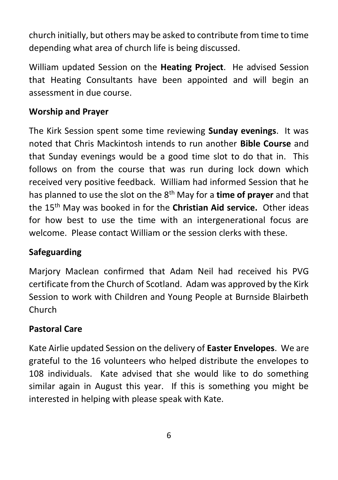church initially, but others may be asked to contribute from time to time depending what area of church life is being discussed.

William updated Session on the **Heating Project**. He advised Session that Heating Consultants have been appointed and will begin an assessment in due course.

#### **Worship and Prayer**

The Kirk Session spent some time reviewing **Sunday evenings**. It was noted that Chris Mackintosh intends to run another **Bible Course** and that Sunday evenings would be a good time slot to do that in. This follows on from the course that was run during lock down which received very positive feedback. William had informed Session that he has planned to use the slot on the 8th May for a **time of prayer** and that the 15th May was booked in for the **Christian Aid service.** Other ideas for how best to use the time with an intergenerational focus are welcome. Please contact William or the session clerks with these.

#### **Safeguarding**

Marjory Maclean confirmed that Adam Neil had received his PVG certificate from the Church of Scotland. Adam was approved by the Kirk Session to work with Children and Young People at Burnside Blairbeth Church

#### **Pastoral Care**

Kate Airlie updated Session on the delivery of **Easter Envelopes**. We are grateful to the 16 volunteers who helped distribute the envelopes to 108 individuals. Kate advised that she would like to do something similar again in August this year. If this is something you might be interested in helping with please speak with Kate.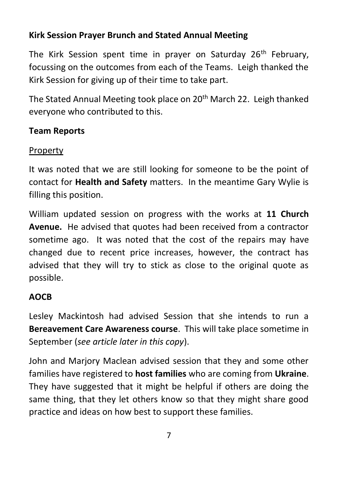#### **Kirk Session Prayer Brunch and Stated Annual Meeting**

The Kirk Session spent time in prayer on Saturday 26<sup>th</sup> February, focussing on the outcomes from each of the Teams. Leigh thanked the Kirk Session for giving up of their time to take part.

The Stated Annual Meeting took place on 20<sup>th</sup> March 22. Leigh thanked everyone who contributed to this.

#### **Team Reports**

#### **Property**

It was noted that we are still looking for someone to be the point of contact for **Health and Safety** matters. In the meantime Gary Wylie is filling this position.

William updated session on progress with the works at **11 Church Avenue.** He advised that quotes had been received from a contractor sometime ago. It was noted that the cost of the repairs may have changed due to recent price increases, however, the contract has advised that they will try to stick as close to the original quote as possible.

#### **AOCB**

Lesley Mackintosh had advised Session that she intends to run a **Bereavement Care Awareness course**. This will take place sometime in September (*see article later in this copy*).

John and Marjory Maclean advised session that they and some other families have registered to **host families** who are coming from **Ukraine**. They have suggested that it might be helpful if others are doing the same thing, that they let others know so that they might share good practice and ideas on how best to support these families.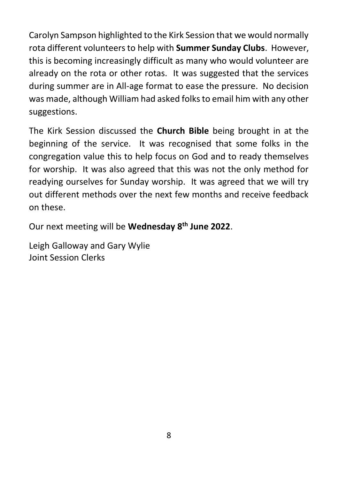Carolyn Sampson highlighted to the Kirk Session that we would normally rota different volunteers to help with **Summer Sunday Clubs**. However, this is becoming increasingly difficult as many who would volunteer are already on the rota or other rotas. It was suggested that the services during summer are in All-age format to ease the pressure. No decision was made, although William had asked folks to email him with any other suggestions.

The Kirk Session discussed the **Church Bible** being brought in at the beginning of the service. It was recognised that some folks in the congregation value this to help focus on God and to ready themselves for worship. It was also agreed that this was not the only method for readying ourselves for Sunday worship. It was agreed that we will try out different methods over the next few months and receive feedback on these.

Our next meeting will be **Wednesday 8th June 2022**.

Leigh Galloway and Gary Wylie Joint Session Clerks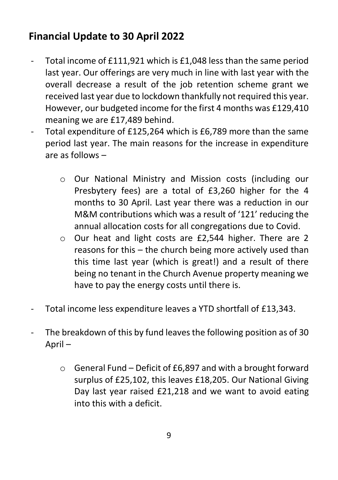# **Financial Update to 30 April 2022**

- Total income of £111,921 which is £1,048 less than the same period last year. Our offerings are very much in line with last year with the overall decrease a result of the job retention scheme grant we received last year due to lockdown thankfully not required this year. However, our budgeted income for the first 4 months was £129,410 meaning we are £17,489 behind.
- Total expenditure of £125,264 which is £6,789 more than the same period last year. The main reasons for the increase in expenditure are as follows –
	- o Our National Ministry and Mission costs (including our Presbytery fees) are a total of £3,260 higher for the 4 months to 30 April. Last year there was a reduction in our M&M contributions which was a result of '121' reducing the annual allocation costs for all congregations due to Covid.
	- o Our heat and light costs are £2,544 higher. There are 2 reasons for this – the church being more actively used than this time last year (which is great!) and a result of there being no tenant in the Church Avenue property meaning we have to pay the energy costs until there is.
- Total income less expenditure leaves a YTD shortfall of £13,343.
- The breakdown of this by fund leaves the following position as of 30 April –
	- $\circ$  General Fund Deficit of £6,897 and with a brought forward surplus of £25,102, this leaves £18,205. Our National Giving Day last year raised £21,218 and we want to avoid eating into this with a deficit.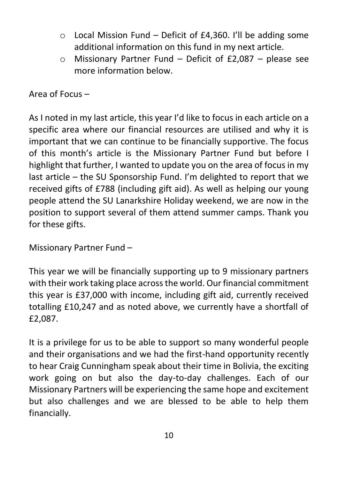- $\circ$  Local Mission Fund Deficit of £4,360. I'll be adding some additional information on this fund in my next article.
- o Missionary Partner Fund Deficit of £2,087 please see more information below.

Area of Focus –

As I noted in my last article, this year I'd like to focus in each article on a specific area where our financial resources are utilised and why it is important that we can continue to be financially supportive. The focus of this month's article is the Missionary Partner Fund but before I highlight that further, I wanted to update you on the area of focus in my last article – the SU Sponsorship Fund. I'm delighted to report that we received gifts of £788 (including gift aid). As well as helping our young people attend the SU Lanarkshire Holiday weekend, we are now in the position to support several of them attend summer camps. Thank you for these gifts.

Missionary Partner Fund –

This year we will be financially supporting up to 9 missionary partners with their work taking place across the world. Our financial commitment this year is £37,000 with income, including gift aid, currently received totalling £10,247 and as noted above, we currently have a shortfall of £2,087.

It is a privilege for us to be able to support so many wonderful people and their organisations and we had the first-hand opportunity recently to hear Craig Cunningham speak about their time in Bolivia, the exciting work going on but also the day-to-day challenges. Each of our Missionary Partners will be experiencing the same hope and excitement but also challenges and we are blessed to be able to help them financially.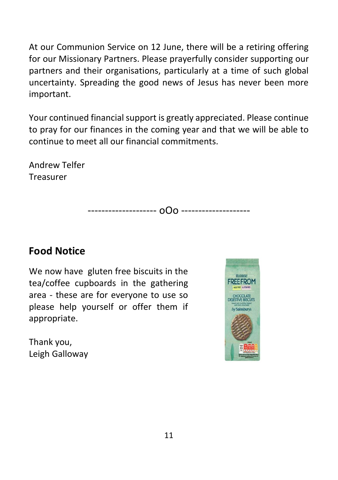At our Communion Service on 12 June, there will be a retiring offering for our Missionary Partners. Please prayerfully consider supporting our partners and their organisations, particularly at a time of such global uncertainty. Spreading the good news of Jesus has never been more important.

Your continued financial support is greatly appreciated. Please continue to pray for our finances in the coming year and that we will be able to continue to meet all our financial commitments.

Andrew Telfer Treasurer

-------------------- oOo --------------------

# **Food Notice**

We now have gluten free biscuits in the tea/coffee cupboards in the gathering area - these are for everyone to use so please help yourself or offer them if appropriate.

Thank you, Leigh Galloway

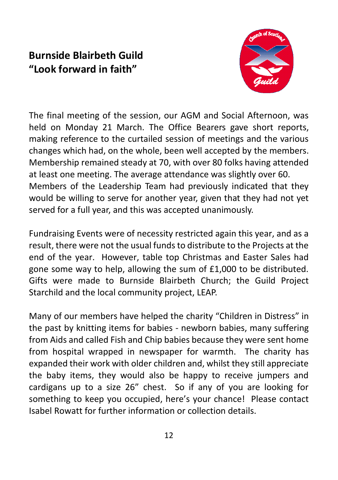# **Burnside Blairbeth Guild "Look forward in faith"**



The final meeting of the session, our AGM and Social Afternoon, was held on Monday 21 March. The Office Bearers gave short reports, making reference to the curtailed session of meetings and the various changes which had, on the whole, been well accepted by the members. Membership remained steady at 70, with over 80 folks having attended at least one meeting. The average attendance was slightly over 60. Members of the Leadership Team had previously indicated that they would be willing to serve for another year, given that they had not yet served for a full year, and this was accepted unanimously.

Fundraising Events were of necessity restricted again this year, and as a result, there were not the usual funds to distribute to the Projects at the end of the year. However, table top Christmas and Easter Sales had gone some way to help, allowing the sum of £1,000 to be distributed. Gifts were made to Burnside Blairbeth Church; the Guild Project Starchild and the local community project, LEAP.

Many of our members have helped the charity "Children in Distress" in the past by knitting items for babies - newborn babies, many suffering from Aids and called Fish and Chip babies because they were sent home from hospital wrapped in newspaper for warmth. The charity has expanded their work with older children and, whilst they still appreciate the baby items, they would also be happy to receive jumpers and cardigans up to a size 26" chest. So if any of you are looking for something to keep you occupied, here's your chance! Please contact Isabel Rowatt for further information or collection details.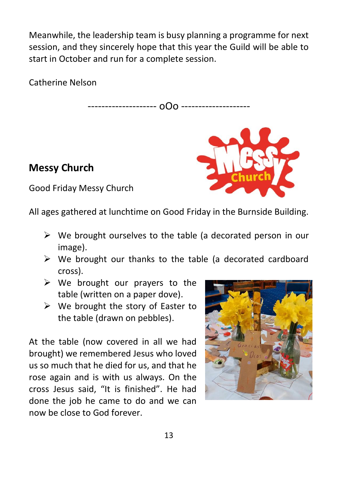Meanwhile, the leadership team is busy planning a programme for next session, and they sincerely hope that this year the Guild will be able to start in October and run for a complete session.

Catherine Nelson

-------------------- oOo --------------------

# **Messy Church**



Good Friday Messy Church

All ages gathered at lunchtime on Good Friday in the Burnside Building.

- ➢ We brought ourselves to the table (a decorated person in our image).
- ➢ We brought our thanks to the table (a decorated cardboard cross).
- $\triangleright$  We brought our prayers to the table (written on a paper dove).
- $\triangleright$  We brought the story of Easter to the table (drawn on pebbles).

At the table (now covered in all we had brought) we remembered Jesus who loved us so much that he died for us, and that he rose again and is with us always. On the cross Jesus said, "It is finished". He had done the job he came to do and we can now be close to God forever.

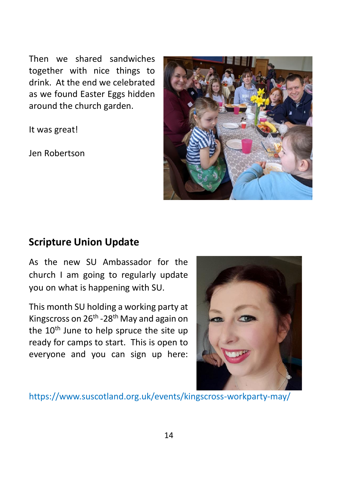Then we shared sandwiches together with nice things to drink. At the end we celebrated as we found Easter Eggs hidden around the church garden.

It was great!

Jen Robertson



#### **Scripture Union Update**

As the new SU Ambassador for the church I am going to regularly update you on what is happening with SU.

This month SU holding a working party at Kingscross on 26<sup>th</sup> -28<sup>th</sup> May and again on the  $10<sup>th</sup>$  June to help spruce the site up ready for camps to start. This is open to everyone and you can sign up here:



<https://www.suscotland.org.uk/events/kingscross-workparty-may/>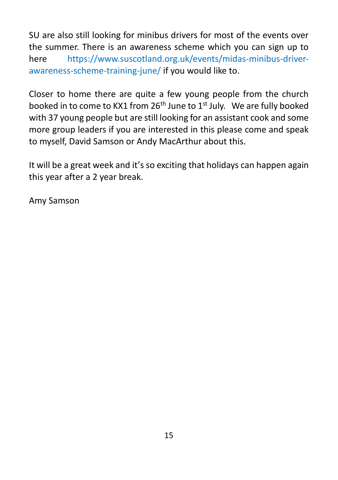SU are also still looking for minibus drivers for most of the events over the summer. There is an awareness scheme which you can sign up to here [https://www.suscotland.org.uk/events/midas-minibus-driver](https://www.suscotland.org.uk/events/midas-minibus-driver-awareness-scheme-training-june/)[awareness-scheme-training-june/](https://www.suscotland.org.uk/events/midas-minibus-driver-awareness-scheme-training-june/) if you would like to.

Closer to home there are quite a few young people from the church booked in to come to KX1 from 26<sup>th</sup> June to 1<sup>st</sup> July. We are fully booked with 37 young people but are still looking for an assistant cook and some more group leaders if you are interested in this please come and speak to myself, David Samson or Andy MacArthur about this.

It will be a great week and it's so exciting that holidays can happen again this year after a 2 year break.

Amy Samson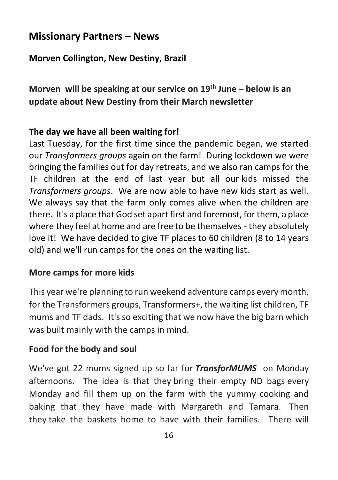# **Missionary Partners – News**

#### **Morven Collington, New Destiny, Brazil**

**Morven will be speaking at our service on 19th June – below is an update about New Destiny from their March newsletter**

#### **The day we have all been waiting for!**

Last Tuesday, for the first time since the pandemic began, we started our *Transformers groups* again on the farm! During lockdown we were bringing the families out for day retreats, and we also ran camps for the TF children at the end of last year but all our kids missed the *Transformers groups*. We are now able to have new kids start as well. We always say that the farm only comes alive when the children are there. It's a place that God set apart first and foremost, for them, a place where they feel at home and are free to be themselves - they absolutely love it! We have decided to give TF places to 60 children (8 to 14 years old) and we'll run camps for the ones on the waiting list.

#### **More camps for more kids**

This year we're planning to run weekend adventure camps every month, for the Transformers groups, Transformers+, the waiting list children, TF mums and TF dads. It's so exciting that we now have the big barn which was built mainly with the camps in mind.

#### **Food for the body and soul**

We've got 22 mums signed up so far for *TransforMUMS* on Monday afternoons. The idea is that they bring their empty ND bags every Monday and fill them up on the farm with the yummy cooking and baking that they have made with Margareth and Tamara. Then they take the baskets home to have with their families. There will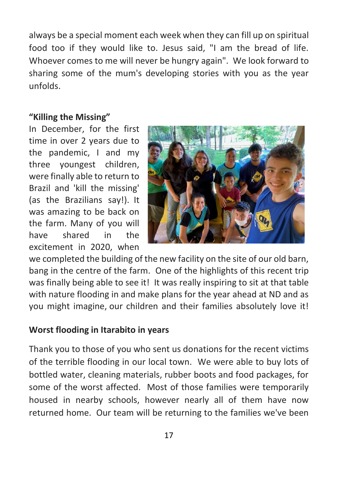always be a special moment each week when they can fill up on spiritual food too if they would like to. Jesus said, "I am the bread of life. Whoever comes to me will never be hungry again". We look forward to sharing some of the mum's developing stories with you as the year unfolds.

#### **"Killing the Missing"**

In December, for the first time in over 2 years due to the pandemic, I and my three youngest children, were finally able to return to Brazil and 'kill the missing' (as the Brazilians say!). It was amazing to be back on the farm. Many of you will have shared in the excitement in 2020, when



we completed the building of the new facility on the site of our old barn, bang in the centre of the farm. One of the highlights of this recent trip was finally being able to see it! It was really inspiring to sit at that table with nature flooding in and make plans for the year ahead at ND and as you might imagine, our children and their families absolutely love it!

#### **Worst flooding in Itarabito in years**

Thank you to those of you who sent us donations for the recent victims of the terrible flooding in our local town. We were able to buy lots of bottled water, cleaning materials, rubber boots and food packages, for some of the worst affected. Most of those families were temporarily housed in nearby schools, however nearly all of them have now returned home. Our team will be returning to the families we've been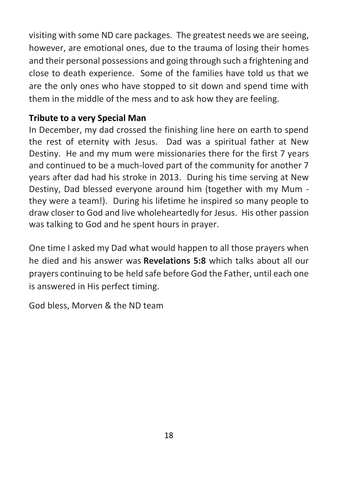visiting with some ND care packages. The greatest needs we are seeing, however, are emotional ones, due to the trauma of losing their homes and their personal possessions and going through such a frightening and close to death experience. Some of the families have told us that we are the only ones who have stopped to sit down and spend time with them in the middle of the mess and to ask how they are feeling.

#### **Tribute to a very Special Man**

In December, my dad crossed the finishing line here on earth to spend the rest of eternity with Jesus. Dad was a spiritual father at New Destiny. He and my mum were missionaries there for the first 7 years and continued to be a much-loved part of the community for another 7 years after dad had his stroke in 2013. During his time serving at New Destiny, Dad blessed everyone around him (together with my Mum they were a team!). During his lifetime he inspired so many people to draw closer to God and live wholeheartedly for Jesus. His other passion was talking to God and he spent hours in prayer.

One time I asked my Dad what would happen to all those prayers when he died and his answer was **Revelations 5:8** which talks about all our prayers continuing to be held safe before God the Father, until each one is answered in His perfect timing.

God bless, Morven & the ND team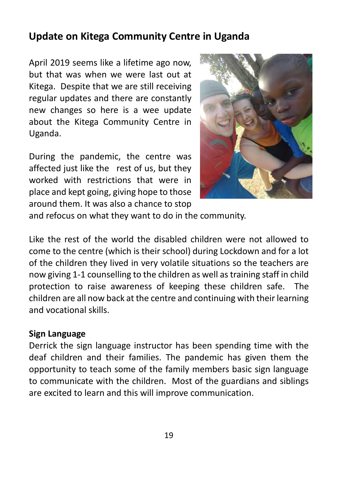## **Update on Kitega Community Centre in Uganda**

April 2019 seems like a lifetime ago now, but that was when we were last out at Kitega. Despite that we are still receiving regular updates and there are constantly new changes so here is a wee update about the Kitega Community Centre in Uganda.

During the pandemic, the centre was affected just like the rest of us, but they worked with restrictions that were in place and kept going, giving hope to those around them. It was also a chance to stop



and refocus on what they want to do in the community.

Like the rest of the world the disabled children were not allowed to come to the centre (which is their school) during Lockdown and for a lot of the children they lived in very volatile situations so the teachers are now giving 1-1 counselling to the children as well as training staff in child protection to raise awareness of keeping these children safe. The children are all now back at the centre and continuing with their learning and vocational skills.

#### **Sign Language**

Derrick the sign language instructor has been spending time with the deaf children and their families. The pandemic has given them the opportunity to teach some of the family members basic sign language to communicate with the children. Most of the guardians and siblings are excited to learn and this will improve communication.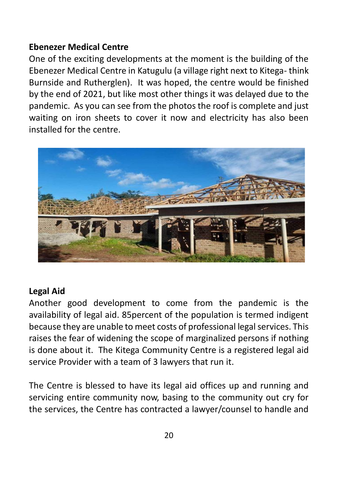#### **Ebenezer Medical Centre**

One of the exciting developments at the moment is the building of the Ebenezer Medical Centre in Katugulu (a village right next to Kitega- think Burnside and Rutherglen). It was hoped, the centre would be finished by the end of 2021, but like most other things it was delayed due to the pandemic. As you can see from the photos the roof is complete and just waiting on iron sheets to cover it now and electricity has also been installed for the centre.



#### **Legal Aid**

Another good development to come from the pandemic is the availability of legal aid. 85percent of the population is termed indigent because they are unable to meet costs of professional legal services. This raises the fear of widening the scope of marginalized persons if nothing is done about it. The Kitega Community Centre is a registered legal aid service Provider with a team of 3 lawyers that run it.

The Centre is blessed to have its legal aid offices up and running and servicing entire community now, basing to the community out cry for the services, the Centre has contracted a lawyer/counsel to handle and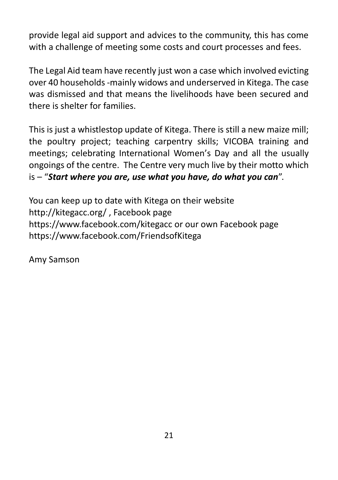provide legal aid support and advices to the community, this has come with a challenge of meeting some costs and court processes and fees.

The Legal Aid team have recently just won a case which involved evicting over 40 households -mainly widows and underserved in Kitega. The case was dismissed and that means the livelihoods have been secured and there is shelter for families.

This is just a whistlestop update of Kitega. There is still a new maize mill; the poultry project; teaching carpentry skills; VICOBA training and meetings; celebrating International Women's Day and all the usually ongoings of the centre. The Centre very much live by their motto which is – "*Start where you are, use what you have, do what you can*".

You can keep up to date with Kitega on their website <http://kitegacc.org/> , Facebook page <https://www.facebook.com/kitegacc> or our own Facebook page <https://www.facebook.com/FriendsofKitega>

Amy Samson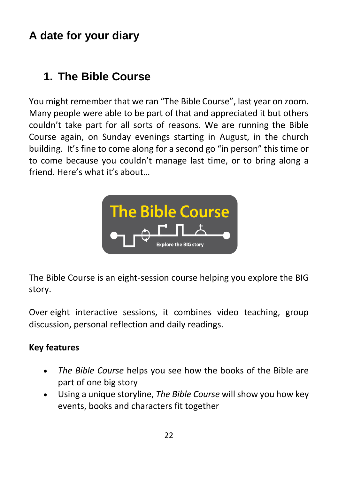# **A date for your diary**

# **1. The Bible Course**

You might remember that we ran "The Bible Course", last year on zoom. Many people were able to be part of that and appreciated it but others couldn't take part for all sorts of reasons. We are running the Bible Course again, on Sunday evenings starting in August, in the church building. It's fine to come along for a second go "in person" this time or to come because you couldn't manage last time, or to bring along a friend. Here's what it's about…



The Bible Course is an eight-session course helping you explore the BIG story.

Over eight interactive sessions, it combines video teaching, group discussion, personal reflection and daily readings.

#### **Key features**

- *The Bible Course* helps you see how the books of the Bible are part of one big story
- Using a unique storyline, *The Bible Course* will show you how key events, books and characters fit together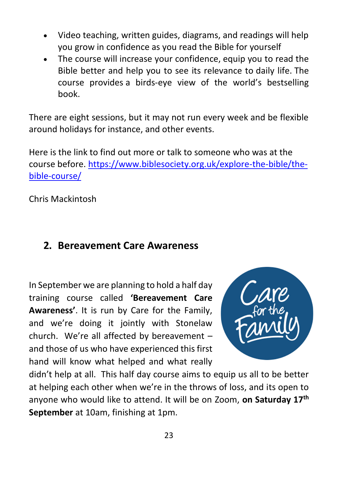- Video teaching, written guides, diagrams, and readings will help you grow in confidence as you read the Bible for yourself
- The course will increase your confidence, equip you to read the Bible better and help you to see its relevance to daily life. The course provides a birds-eye view of the world's bestselling book.

There are eight sessions, but it may not run every week and be flexible around holidays for instance, and other events.

Here is the link to find out more or talk to someone who was at the course before. [https://www.biblesociety.org.uk/explore-the-bible/the](https://www.biblesociety.org.uk/explore-the-bible/the-bible-course/)[bible-course/](https://www.biblesociety.org.uk/explore-the-bible/the-bible-course/)

Chris Mackintosh

## **2. Bereavement Care Awareness**

In September we are planning to hold a half day training course called **'Bereavement Care Awareness'**. It is run by Care for the Family, and we're doing it jointly with Stonelaw church. We're all affected by bereavement – and those of us who have experienced this first hand will know what helped and what really



didn't help at all. This half day course aims to equip us all to be better at helping each other when we're in the throws of loss, and its open to anyone who would like to attend. It will be on Zoom, **on Saturday 17th September** at 10am, finishing at 1pm.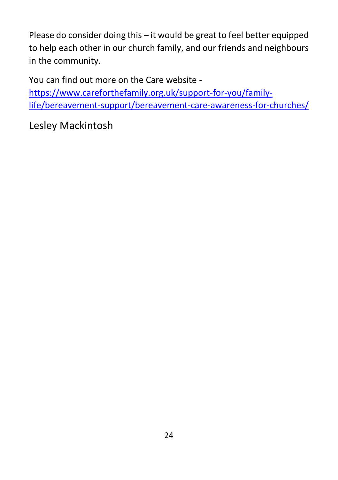Please do consider doing this – it would be great to feel better equipped to help each other in our church family, and our friends and neighbours in the community.

You can find out more on the Care website -

[https://www.careforthefamily.org.uk/support-for-you/family](https://www.careforthefamily.org.uk/support-for-you/family-life/bereavement-support/bereavement-care-awareness-for-churches/)[life/bereavement-support/bereavement-care-awareness-for-churches/](https://www.careforthefamily.org.uk/support-for-you/family-life/bereavement-support/bereavement-care-awareness-for-churches/)

Lesley Mackintosh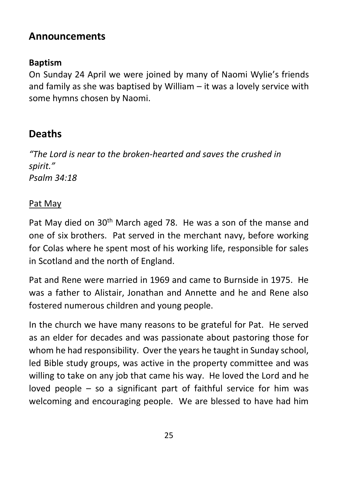# **Announcements**

#### **Baptism**

On Sunday 24 April we were joined by many of Naomi Wylie's friends and family as she was baptised by William – it was a lovely service with some hymns chosen by Naomi.

# **Deaths**

*"The Lord is near to the broken-hearted and saves the crushed in spirit." Psalm 34:18*

#### Pat May

Pat May died on 30<sup>th</sup> March aged 78. He was a son of the manse and one of six brothers. Pat served in the merchant navy, before working for Colas where he spent most of his working life, responsible for sales in Scotland and the north of England.

Pat and Rene were married in 1969 and came to Burnside in 1975. He was a father to Alistair, Jonathan and Annette and he and Rene also fostered numerous children and young people.

In the church we have many reasons to be grateful for Pat. He served as an elder for decades and was passionate about pastoring those for whom he had responsibility. Over the years he taught in Sunday school, led Bible study groups, was active in the property committee and was willing to take on any job that came his way. He loved the Lord and he loved people – so a significant part of faithful service for him was welcoming and encouraging people. We are blessed to have had him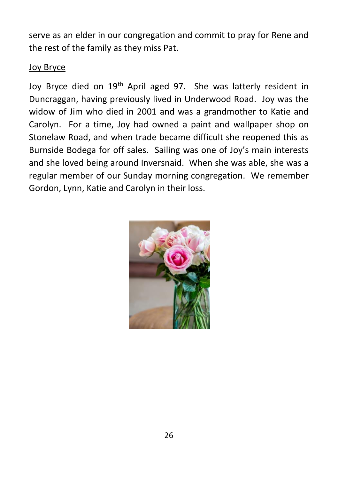serve as an elder in our congregation and commit to pray for Rene and the rest of the family as they miss Pat.

#### Joy Bryce

Joy Bryce died on 19<sup>th</sup> April aged 97. She was latterly resident in Duncraggan, having previously lived in Underwood Road. Joy was the widow of Jim who died in 2001 and was a grandmother to Katie and Carolyn. For a time, Joy had owned a paint and wallpaper shop on Stonelaw Road, and when trade became difficult she reopened this as Burnside Bodega for off sales. Sailing was one of Joy's main interests and she loved being around Inversnaid. When she was able, she was a regular member of our Sunday morning congregation. We remember Gordon, Lynn, Katie and Carolyn in their loss.